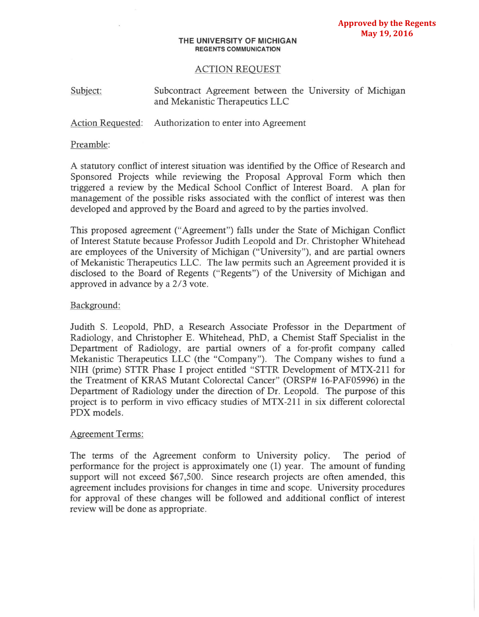#### **THE** UNIVERSITY OF MICHIGAN REGENTS COMMUNICATION

# ACTION REQUEST

Subject: Subcontract Agreement between the University of Michigan and Mekanistic Therapeutics LLC

Action Requested: Authorization to enter into Agreement

#### Preamble:

A statutory conflict of interest situation was identified by the Office of Research and Sponsored Projects while reviewing the Proposal Approval Form which then triggered a review by the Medical School Conflict of Interest Board. A plan for management of the possible risks associated with the conflict of interest was then developed and approved by the Board and agreed to by the parties involved.

This proposed agreement ("Agreement") falls under the State of Michigan Conflict of Interest Statute because Professor Judith Leopold and Dr. Christopher Whitehead are employees of the University of Michigan ("University"), and are partial owners of Mekanistic Therapeutics LLC. The law permits such an Agreement provided it is disclosed to the Board of Regents ("Regents") of the University of Michigan and approved in advance by a 2/3 vote.

### Background:

Judith S. Leopold, PhD, a Research Associate Professor in the Department of Radiology, and Christopher E. Whitehead, PhD, a Chemist Staff Specialist in the Department of Radiology, are partial owners of a for-profit company called Mekanistic Therapeutics LLC (the "Company"). The Company wishes to fund a NIH (prime) STIR Phase I project entitled "STTR Development of MTX-211 for the Treatment of KRAS Mutant Colorectal Cancer" (ORSP# 16-PAF05996) in the Department of Radiology under the direction of Dr. Leopold. The purpose of this project is to perform in vivo efficacy studies of MTX-211 in six different colorectal PDX models.

## Agreement Terms:

The terms of the Agreement conform to University policy. The period of performance for the project is approximately one (1) year. The amount of funding support will not exceed \$67,500. Since research projects are often amended, this agreement includes provisions for changes in time and scope. University procedures for approval of these changes will be followed and additional conflict of interest review will be done as appropriate.